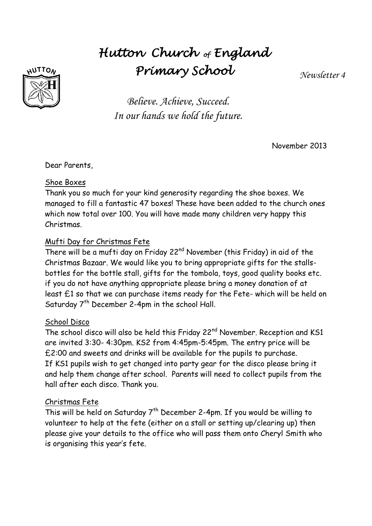# *Hutton Church of England Primary School*

*Newsletter 4*



*Believe. Achieve, Succeed. In our hands we hold the future.*

November 2013

Dear Parents,

#### Shoe Boxes

Thank you so much for your kind generosity regarding the shoe boxes. We managed to fill a fantastic 47 boxes! These have been added to the church ones which now total over 100. You will have made many children very happy this Christmas.

#### Mufti Day for Christmas Fete

There will be a mufti day on Friday 22<sup>nd</sup> November (this Friday) in aid of the Christmas Bazaar. We would like you to bring appropriate gifts for the stallsbottles for the bottle stall, gifts for the tombola, toys, good quality books etc. if you do not have anything appropriate please bring a money donation of at least £1 so that we can purchase items ready for the Fete- which will be held on Saturday  $7<sup>th</sup>$  December 2-4pm in the school Hall.

#### School Disco

The school disco will also be held this Friday 22<sup>nd</sup> November. Reception and KS1 are invited 3:30- 4:30pm. KS2 from 4:45pm-5:45pm. The entry price will be £2:00 and sweets and drinks will be available for the pupils to purchase. If KS1 pupils wish to get changed into party gear for the disco please bring it and help them change after school. Parents will need to collect pupils from the hall after each disco. Thank you.

#### Christmas Fete

This will be held on Saturday  $7<sup>th</sup>$  December 2-4pm. If you would be willing to volunteer to help at the fete (either on a stall or setting up/clearing up) then please give your details to the office who will pass them onto Cheryl Smith who is organising this year's fete.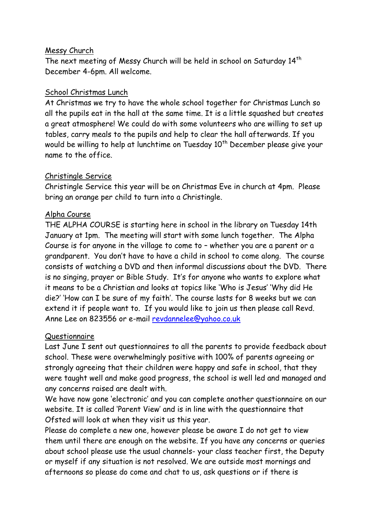#### Messy Church

The next meeting of Messy Church will be held in school on Saturday 14<sup>th</sup> December 4-6pm. All welcome.

#### School Christmas Lunch

At Christmas we try to have the whole school together for Christmas Lunch so all the pupils eat in the hall at the same time. It is a little squashed but creates a great atmosphere! We could do with some volunteers who are willing to set up tables, carry meals to the pupils and help to clear the hall afterwards. If you would be willing to help at lunchtime on Tuesday  $10^{th}$  December please give your name to the office.

### Christingle Service

Christingle Service this year will be on Christmas Eve in church at 4pm. Please bring an orange per child to turn into a Christingle.

### Alpha Course

THE ALPHA COURSE is starting here in school in the library on Tuesday 14th January at 1pm. The meeting will start with some lunch together. The Alpha Course is for anyone in the village to come to – whether you are a parent or a grandparent. You don't have to have a child in school to come along. The course consists of watching a DVD and then informal discussions about the DVD. There is no singing, prayer or Bible Study. It's for anyone who wants to explore what it means to be a Christian and looks at topics like 'Who is Jesus' 'Why did He die?' 'How can I be sure of my faith'. The course lasts for 8 weeks but we can extend it if people want to. If you would like to join us then please call Revd. Anne Lee on 823556 or e-mail [revdannelee@yahoo.co.uk](mailto:revdannelee@yahoo.co.uk)

## Questionnaire

Last June I sent out questionnaires to all the parents to provide feedback about school. These were overwhelmingly positive with 100% of parents agreeing or strongly agreeing that their children were happy and safe in school, that they were taught well and make good progress, the school is well led and managed and any concerns raised are dealt with.

We have now gone 'electronic' and you can complete another questionnaire on our website. It is called 'Parent View' and is in line with the questionnaire that Ofsted will look at when they visit us this year.

Please do complete a new one, however please be aware I do not get to view them until there are enough on the website. If you have any concerns or queries about school please use the usual channels- your class teacher first, the Deputy or myself if any situation is not resolved. We are outside most mornings and afternoons so please do come and chat to us, ask questions or if there is